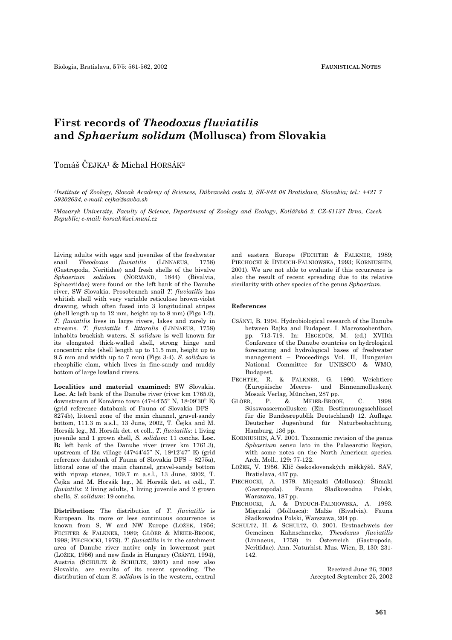## **First records of** *Theodoxus fluviatilis*  **and** *Sphaerium solidum* **(Mollusca) from Slovakia**

Tomáš ČEJKA1 & Michal HORSÁK2

*1Institute of Zoology, Slovak Academy of Sciences, Dúbravská cesta 9, SK-842 06 Bratislava, Slovakia; tel.: +421 7 59302634, e-mail: cejka@savba.sk* 

*2Masaryk University, Faculty of Science, Department of Zoology and Ecology, Kotlářská 2, CZ-61137 Brno, Czech Republic; e-mail: horsak@sci.muni.cz* 

Living adults with eggs and juveniles of the freshwater snail *Theodoxus fluviatilis* (LINNAEUS, 1758) (Gastropoda, Neritidae) and fresh shells of the bivalve *Sphaerium solidum* (NORMAND, 1844) (Bivalvia, Sphaeriidae) were found on the left bank of the Danube river, SW Slovakia. Prosobranch snail *T. fluviatilis* has whitish shell with very variable reticulose brown-violet drawing, which often fused into 3 longitudinal stripes (shell length up to 12 mm, height up to 8 mm) (Figs 1-2). *T. fluviatilis* lives in large rivers, lakes and rarely in streams. *T. fluviatilis* f. *littoralis* (LINNAEUS, 1758) inhabits brackish waters. *S. solidum* is well known for its elongated thick-walled shell, strong hinge and concentric ribs (shell length up to 11.5 mm, height up to 9.5 mm and width up to 7 mm) (Figs 3-4). *S. solidum* is rheophilic clam, which lives in fine-sandy and muddy bottom of large lowland rivers.

**Localities and material examined:** SW Slovakia. Loc. A: left bank of the Danube river (river km 1765.0), downstream of Komárno town (47o44'55" N, 18o09'30" E) (grid reference databank of Fauna of Slovakia DFS – 8274b), littoral zone of the main channel, gravel-sandy bottom, 111.3 m a.s.l., 13 June, 2002, T. Čejka and M. Horsák leg., M. Horsák det. et coll., *T. fluviatilis*: 1 living juvenile and 1 grown shell, *S. solidum*: 11 conchs. **Loc. B:** left bank of the Danube river (river km 1761.3), upstream of Iža village (47o44'45" N, 18o12'47" E) (grid reference databank of Fauna of Slovakia DFS – 8275a), littoral zone of the main channel, gravel-sandy bottom with riprap stones, 109.7 m a.s.l., 13 June, 2002, T. Čejka and M. Horsák leg., M. Horsák det. et coll., *T. fluviatilis*: 2 living adults, 1 living juvenile and 2 grown shells, *S. solidum*: 19 conchs.

**Distribution:** The distribution of *T. fluviatilis* is European. Its more or less continuous occurrence is known from S, W and NW Europe (LOŽEK, 1956; FECHTER & FALKNER, 1989; GLÖER & MEIER-BROOK, 1998; PIECHOCKI, 1979). *T. fluviatilis* is in the catchment area of Danube river native only in lowermost part (LOŽEK, 1956) and new finds in Hungary (CSÁNYI, 1994), Austria (SCHULTZ & SCHULTZ, 2001) and now also Slovakia, are results of its recent spreading. The distribution of clam *S. solidum* is in the western, central and eastern Europe (FECHTER & FALKNER, 1989; PIECHOCKI & DYDUCH-FALNIOWSKA, 1993; KORNIUSHIN, 2001). We are not able to evaluate if this occurrence is also the result of recent spreading due to its relative similarity with other species of the genus *Sphaerium*.

## **References**

- CSÁNYI, B. 1994. Hydrobiological research of the Danube between Rajka and Budapest. I. Macrozoobenthon, pp. 713-719. In: HEGEDÜS, M. (ed.) XVIIth Conference of the Danube countries on hydrological forecasting and hydrological bases of freshwater management – Proceedings Vol. II, Hungarian National Committee for UNESCO & WMO, Budapest.
- FECHTER, R. & FALKNER, G. 1990. Weichtiere (Europäische Meeres- und Binnenmollusken). Mosaik Verlag, München, 287 pp.
- GLÖER, P. & MEIER-BROOK, C. 1998. Süsswassermollusken (Ein Bestimmungsschlüssel für die Bundesrepublik Deutschland) 12. Auflage. Deutscher Jugenbund für Naturbeobachtung, Hamburg, 136 pp.
- KORNIUSHIN, A.V. 2001. Taxonomic revision of the genus *Sphaerium* sensu lato in the Palaearctic Region, with some notes on the North American species. Arch. Moll., 129**:** 77-122.
- LOŽEK, V. 1956. Klíč československých měkkýšů. SAV, Bratislava, 437 pp.
- PIECHOCKI, A. 1979. Mięczaki (Mollusca): Ślimaki (Gastropoda). Fauna Sładkowodna Polski, Warszawa, 187 pp.
- PIECHOCKI, A. & DYDUCH-FALNIOWSKA, A. 1993. Mięczaki (Mollusca): Małże (Bivalvia). Fauna Sładkowodna Polski, Warszawa, 204 pp.
- SCHULTZ, H. & SCHULTZ, O. 2001. Erstnachweis der Gemeinen Kahnschnecke, *Theodoxus fluviatilis* (Linnaeus, 1758) in Österreich (Gastropoda, Neritidae). Ann. Naturhist. Mus. Wien, B, 130: 231- 142.

Received June 26, 2002 Accepted September 25, 2002